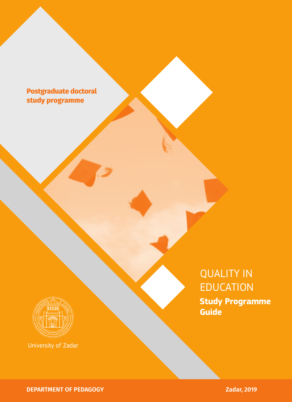# **Postgraduate doctoral study programme**



University of Zadar

# QUALITY IN EDUCATION **Study Programme Guide**

**DEPARTMENT OF PEDAGOGY** *Zadar, 2019*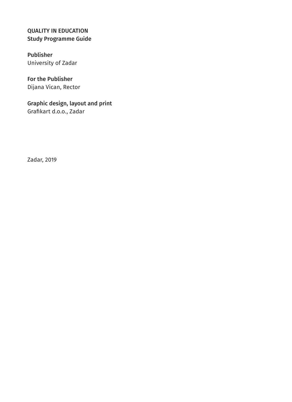#### QUALITY IN EDUCATION Study Programme Guide

Publisher University of Zadar

For the Publisher Dijana Vican, Rector

Graphic design, layout and print Grafikart d.o.o., Zadar

Zadar, 2019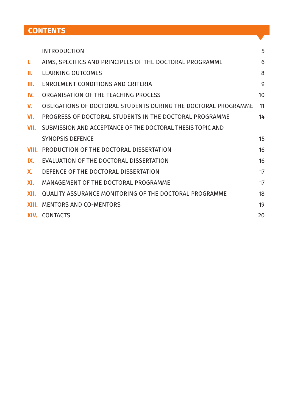# **CONTENTS**

|             | <b>INTRODUCTION</b>                                            | 5  |
|-------------|----------------------------------------------------------------|----|
| ı.          | AIMS, SPECIFICS AND PRINCIPLES OF THE DOCTORAL PROGRAMME       | 6  |
| П.          | LEARNING OUTCOMES                                              | 8  |
| III.        | ENROLMENT CONDITIONS AND CRITERIA                              | 9  |
| IV.         | ORGANISATION OF THE TEACHING PROCESS                           | 10 |
| $V_{\rm r}$ | OBLIGATIONS OF DOCTORAL STUDENTS DURING THE DOCTORAL PROGRAMME | 11 |
| VI.         | PROGRESS OF DOCTORAL STUDENTS IN THE DOCTORAL PROGRAMME        | 14 |
| VII.        | SUBMISSION AND ACCEPTANCE OF THE DOCTORAL THESIS TOPIC AND     |    |
|             | SYNOPSIS DEFENCE                                               | 15 |
| VIII.       | PRODUCTION OF THE DOCTORAL DISSERTATION                        | 16 |
| IX.         | EVALUATION OF THE DOCTORAL DISSERTATION                        | 16 |
| Х.          | DEFENCE OF THE DOCTORAL DISSERTATION                           | 17 |
| XI.         | MANAGEMENT OF THE DOCTORAL PROGRAMME                           | 17 |
| XII.        | QUALITY ASSURANCE MONITORING OF THE DOCTORAL PROGRAMME         | 18 |
|             | <b>XIII. MENTORS AND CO-MENTORS</b>                            | 19 |
|             | <b>XIV.</b> CONTACTS                                           | 20 |
|             |                                                                |    |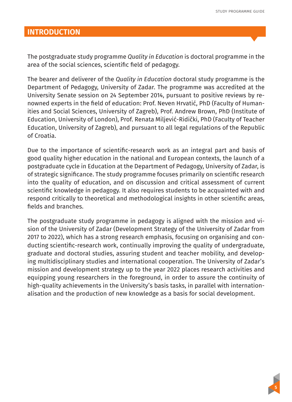#### **INTRODUCTION**

The postgraduate study programme *Quality in Education* is doctoral programme in the area of the social sciences, scientific field of pedagogy.

The bearer and deliverer of the *Quality in Education* doctoral study programme is the Department of Pedagogy, University of Zadar. The programme was accredited at the University Senate session on 24 September 2014, pursuant to positive reviews by renowned experts in the field of education: Prof. Neven Hrvatić, PhD (Faculty of Humanities and Social Sciences, University of Zagreb), Prof. Andrew Brown, PhD (Institute of Education, University of London), Prof. Renata Miljević-Ridički, PhD (Faculty of Teacher Education, University of Zagreb), and pursuant to all legal regulations of the Republic of Croatia.

Due to the importance of scientific-research work as an integral part and basis of good quality higher education in the national and European contexts, the launch of a postgraduate cycle in Education at the Department of Pedagogy, University of Zadar, is of strategic significance. The study programme focuses primarily on scientific research into the quality of education, and on discussion and critical assessment of current scientific knowledge in pedagogy. It also requires students to be acquainted with and respond critically to theoretical and methodological insights in other scientific areas, fields and branches.

The postgraduate study programme in pedagogy is aligned with the mission and vision of the University of Zadar (Development Strategy of the University of Zadar from 2017 to 2022), which has a strong research emphasis, focusing on organising and conducting scientific-research work, continually improving the quality of undergraduate, graduate and doctoral studies, assuring student and teacher mobility, and developing multidisciplinary studies and international cooperation. The University of Zadar's mission and development strategy up to the year 2022 places research activities and equipping young researchers in the foreground, in order to assure the continuity of high-quality achievements in the University's basis tasks, in parallel with internationalisation and the production of new knowledge as a basis for social development.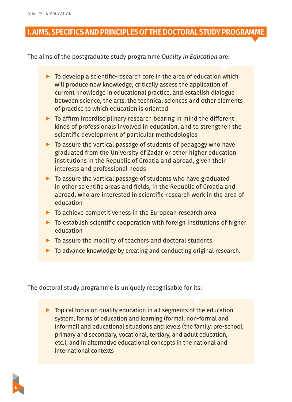**6**

#### **I. AIMS, SPECIFICS AND PRINCIPLES OF THE DOCTORAL STUDY PROGRAMME**

The aims of the postgraduate study programme *Quality in Education* are:

- $\triangleright$  To develop a scientific-research core in the area of education which will produce new knowledge, critically assess the application of current knowledge in educational practice, and establish dialogue between science, the arts, the technical sciences and other elements of practice to which education is oriented
- $\triangleright$  To affirm interdisciplinary research bearing in mind the different kinds of professionals involved in education, and to strengthen the scientific development of particular methodologies
- ▶ To assure the vertical passage of students of pedagogy who have graduated from the University of Zadar or other higher education institutions in the Republic of Croatia and abroad, given their interests and professional needs
- ▶ To assure the vertical passage of students who have graduated in other scientific areas and fields, in the Republic of Croatia and abroad, who are interested in scientific-research work in the area of education
- ▶ To achieve competitiveness in the European research area
- ▶ To establish scientific cooperation with foreign institutions of higher education
- $\triangleright$  To assure the mobility of teachers and doctoral students
- ▶ To advance knowledge by creating and conducting original research.

The doctoral study programme is uniquely recognisable for its:

 $\triangleright$  Topical focus on quality education in all segments of the education system, forms of education and learning (formal, non-formal and informal) and educational situations and levels (the family, pre-school, primary and secondary, vocational, tertiary, and adult education, etc.), and in alternative educational concepts in the national and international contexts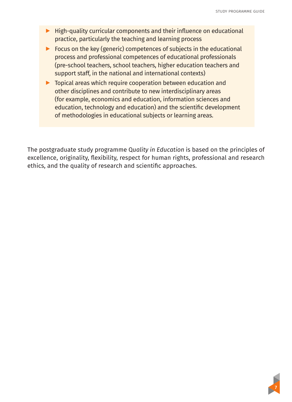- ▶ High-quality curricular components and their influence on educational practice, particularly the teaching and learning process
- ▶ Focus on the key (generic) competences of subjects in the educational process and professional competences of educational professionals (pre-school teachers, school teachers, higher education teachers and support staff, in the national and international contexts)
- ▶ Topical areas which require cooperation between education and other disciplines and contribute to new interdisciplinary areas (for example, economics and education, information sciences and education, technology and education) and the scientific development of methodologies in educational subjects or learning areas.

The postgraduate study programme Q*uality in Education* is based on the principles of excellence, originality, flexibility, respect for human rights, professional and research ethics, and the quality of research and scientific approaches.

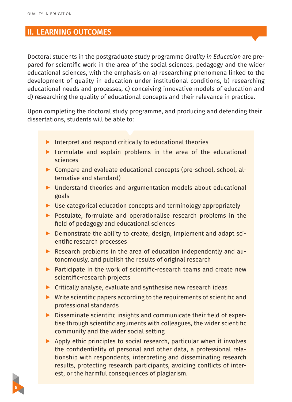#### **II. LEARNING OUTCOMES**

Doctoral students in the postgraduate study programme *Quality in Education* are prepared for scientific work in the area of the social sciences, pedagogy and the wider educational sciences, with the emphasis on a) researching phenomena linked to the development of quality in education under institutional conditions, b) researching educational needs and processes, c) conceiving innovative models of education and d) researching the quality of educational concepts and their relevance in practice.

Upon completing the doctoral study programme, and producing and defending their dissertations, students will be able to:

- ▶ Interpret and respond critically to educational theories
- ▶ Formulate and explain problems in the area of the educational sciences
- ▶ Compare and evaluate educational concepts (pre-school, school, alternative and standard)
- ▶ Understand theories and argumentation models about educational goals
- ▶ Use categorical education concepts and terminology appropriately
- ▶ Postulate, formulate and operationalise research problems in the field of pedagogy and educational sciences
- ▶ Demonstrate the ability to create, design, implement and adapt scientific research processes
- ▶ Research problems in the area of education independently and autonomously, and publish the results of original research
- ▶ Participate in the work of scientific-research teams and create new scientific-research projects
- ▶ Critically analyse, evaluate and synthesise new research ideas
- ▶ Write scientific papers according to the requirements of scientific and professional standards
- ▶ Disseminate scientific insights and communicate their field of expertise through scientific arguments with colleagues, the wider scientific community and the wider social setting
- ▶ Apply ethic principles to social research, particular when it involves the confidentiality of personal and other data, a professional relationship with respondents, interpreting and disseminating research results, protecting research participants, avoiding conflicts of interest, or the harmful consequences of plagiarism.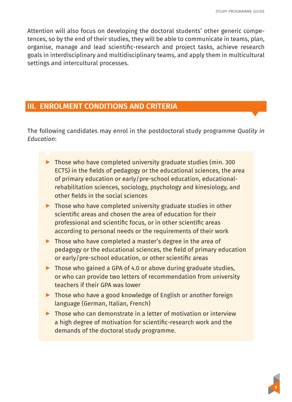Attention will also focus on developing the doctoral students' other generic competences, so by the end of their studies, they will be able to communicate in teams, plan, organise, manage and lead scientific-research and project tasks, achieve research goals in interdisciplinary and multidisciplinary teams, and apply them in multicultural settings and intercultural processes.

#### **III. ENROLMENT CONDITIONS AND CRITERIA**

The following candidates may enrol in the postdoctoral study programme *Quality in Education*:

- ▶ Those who have completed university graduate studies (min. 300 ECTS) in the fields of pedagogy or the educational sciences, the area of primary education or early/pre-school education, educationalrehabilitation sciences, sociology, psychology and kinesiology, and other fields in the social sciences
- $\triangleright$  Those who have completed university graduate studies in other scientific areas and chosen the area of education for their professional and scientific focus, or in other scientific areas according to personal needs or the requirements of their work
- ▶ Those who have completed a master's degree in the area of pedagogy or the educational sciences, the field of primary education or early/pre-school education, or other scientific areas
- ▶ Those who gained a GPA of 4.0 or above during graduate studies, or who can provide two letters of recommendation from university teachers if their GPA was lower
- ▶ Those who have a good knowledge of English or another foreign language (German, Italian, French)
- ▶ Those who can demonstrate in a letter of motivation or interview a high degree of motivation for scientific-research work and the demands of the doctoral study programme.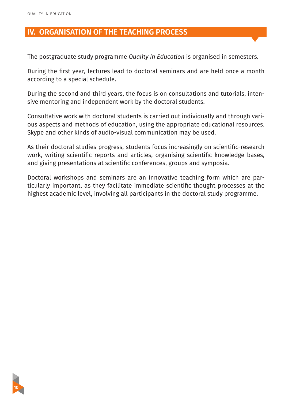### **IV. ORGANISATION OF THE TEACHING PROCESS**

The postgraduate study programme *Quality in Education* is organised in semesters.

During the first year, lectures lead to doctoral seminars and are held once a month according to a special schedule.

During the second and third years, the focus is on consultations and tutorials, intensive mentoring and independent work by the doctoral students.

Consultative work with doctoral students is carried out individually and through various aspects and methods of education, using the appropriate educational resources. Skype and other kinds of audio-visual communication may be used.

As their doctoral studies progress, students focus increasingly on scientific-research work, writing scientific reports and articles, organising scientific knowledge bases, and giving presentations at scientific conferences, groups and symposia.

Doctoral workshops and seminars are an innovative teaching form which are particularly important, as they facilitate immediate scientific thought processes at the highest academic level, involving all participants in the doctoral study programme.

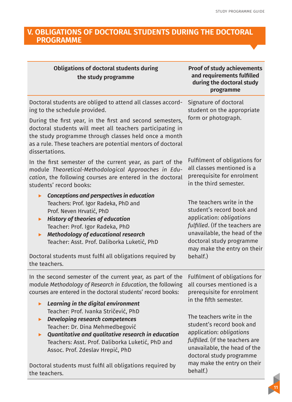**11**

#### **V. OBLIGATIONS OF DOCTORAL STUDENTS DURING THE DOCTORAL PROGRAMME**

| <b>Obligations of doctoral students during</b><br>the study programme                                                                                                                                                                                                                                                                                                                                | <b>Proof of study achievements</b><br>and requirements fulfilled<br>during the doctoral study<br>programme                                                                                                                   |
|------------------------------------------------------------------------------------------------------------------------------------------------------------------------------------------------------------------------------------------------------------------------------------------------------------------------------------------------------------------------------------------------------|------------------------------------------------------------------------------------------------------------------------------------------------------------------------------------------------------------------------------|
| Doctoral students are obliged to attend all classes accord-<br>ing to the schedule provided.<br>During the first year, in the first and second semesters,<br>doctoral students will meet all teachers participating in<br>the study programme through classes held once a month<br>as a rule. These teachers are potential mentors of doctoral<br>dissertations.                                     | Signature of doctoral<br>student on the appropriate<br>form or photograph.                                                                                                                                                   |
| In the first semester of the current year, as part of the<br>module Theoretical-Methodological Approaches in Edu-<br>cation, the following courses are entered in the doctoral<br>students' record books:                                                                                                                                                                                            | Fulfilment of obligations for<br>all classes mentioned is a<br>prerequisite for enrolment<br>in the third semester.                                                                                                          |
| <b>Conceptions and perspectives in education</b><br>Teachers: Prof. Igor Radeka, PhD and<br>Prof. Neven Hrvatić, PhD<br><b>History of theories of education</b><br>$\blacktriangleright$<br>Teacher: Prof. Igor Radeka, PhD<br>Methodology of educational research<br>ь<br>Teacher: Asst. Prof. Daliborka Luketić, PhD<br>Doctoral students must fulfil all obligations required by<br>the teachers. | The teachers write in the<br>student's record book and<br>application: obligations<br>fulfilled. (If the teachers are<br>unavailable, the head of the<br>doctoral study programme<br>may make the entry on their<br>behalf.) |
| In the second semester of the current year, as part of the<br>module Methodology of Research in Education, the following<br>courses are entered in the doctoral students' record books:                                                                                                                                                                                                              | Fulfilment of obligations for<br>all courses mentioned is a<br>prerequisite for enrolment<br>in the fifth semester.                                                                                                          |
| Learning in the digital environment<br>ь<br>Teacher: Prof. Ivanka Stričević, PhD<br><b>Developing research competences</b><br>ь<br>Teacher: Dr. Dina Mehmedbegović<br>Quantitative and qualitative research in education<br>ь<br>Teachers: Asst. Prof. Daliborka Luketić, PhD and<br>Assoc. Prof. Zdeslav Hrepić, PhD<br>Doctoral students must fulfil all obligations required by<br>the teachers.  | The teachers write in the<br>student's record book and<br>application: obligations<br>fulfilled. (If the teachers are<br>unavailable, the head of the<br>doctoral study programme<br>may make the entry on their<br>behalf.) |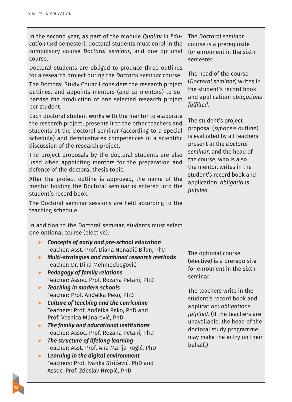In the second year, as part of the module *Quality in Education* (3rd semester), doctoral students must enrol in the compulsory course *Doctoral seminar*, and one optional course.

Doctoral students are obliged to produce three outlines for a research project during the *Doctoral seminar* course.

The Doctoral Study Council considers the research project outlines, and appoints mentors (and co-mentors) to supervise the production of one selected research project per student.

Each doctoral student works with the mentor to elaborate the research project, presents it to the other teachers and students at the Doctoral seminar (according to a special schedule) and demonstrates competences in a scientific discussion of the research project.

The project proposals by the doctoral students are also used when appointing mentors for the preparation and defence of the doctoral thesis topic.

After the project outline is approved, the name of the mentor holding the Doctoral seminar is entered into the student's record book.

The Doctoral seminar sessions are held according to the teaching schedule.

In addition to the Doctoral seminar, students must select one optional course (elective):

- ▶ *Concepts of early and pre-school education* Teacher: Asst. Prof. Diana Nenadić Bilan, PhD
- ▶ *Multi-strategies and combined research methods* Teacher: Dr. Dina Mehmedbegović
- ▶ *Pedagogy of family relations* Teacher: Assoc. Prof. Rozana Petani, PhD
- ▶ *Teaching in modern schools* Teacher: Prof. Anđelka Peko, PhD
- ▶ *Culture of teaching and the curriculum* Teachers: Prof. Anđelka Peko, PhD and Prof. Vesnica Mlinarević, PhD
- ▶ *The family and educational institutions* Teacher: Assoc. Prof. Rozana Petani, PhD
- ▶ *The structure of lifelong learning* Teacher: Asst. Prof. Ana Marija Rogić, PhD
- ▶ *Learning in the digital environment* Teachers: Prof. Ivanka Stričević, PhD and Assoc. Prof. Zdeslav Hrepić, PhD

The *Doctoral seminar*  course is a prerequisite for enrolment in the sixth semester.

The head of the course (*Doctoral seminar*) writes in the student's record book and application: *obligations fulfilled*.

The student's project proposal (synopsis outline) is evaluated by all teachers present at the *Doctoral seminar*, and the head of the course, who is also the mentor, writes in the student's record book and application: *obligations fulfilled.* 

The optional course (elective) is a prerequisite for enrolment in the sixth seminar.

The teachers write in the student's record book and application: *obligations fulfilled*. (If the teachers are unavailable, the head of the doctoral study programme may make the entry on their behalf.)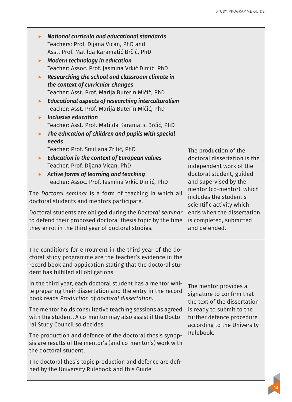- ▶ *National curricula and educational standards* Teachers: Prof. Dijana Vican, PhD and Asst. Prof. Matilda Karamatić Brčić, PhD
- ▶ *Modern technology in education* Teacher: Assoc. Prof. Jasmina Vrkić Dimić, PhD
- ▶ *Researching the school and classroom climate in the context of curricular changes* Teacher: Asst. Prof. Marija Buterin Mičić, PhD
- ▶ *Educational aspects of researching interculturalism* Teacher: Asst. Prof. Marija Buterin Mičić, PhD
- ▶ *Inclusive education* Teacher: Asst. Prof. Matilda Karamatić Brčić, PhD
- ▶ *The education of children and pupils with special needs* Teacher: Prof. Smiljana Zrilić, PhD
- ▶ *Education in the context of European values* Teacher: Prof. Dijana Vican, PhD
- ▶ *Active forms of learning and teaching* Teacher: Assoc. Prof. Jasmina Vrkić Dimić, PhD

The *Doctoral seminar* is a form of teaching in which all doctoral students and mentors participate.

Doctoral students are obliged during the *Doctoral seminar*  to defend their proposed doctoral thesis topic by the time they enrol in the third year of doctoral studies.

The production of the doctoral dissertation is the independent work of the doctoral student, guided and supervised by the mentor (co-mentor), which includes the student's scientific activity which ends when the dissertation is completed, submitted and defended.

The conditions for enrolment in the third year of the doctoral study programme are the teacher's evidence in the record book and application stating that the doctoral student has fulfilled all obligations.

In the third year, each doctoral student has a mentor while preparing their dissertation and the entry in the record book reads *Production of doctoral dissertation*.

The mentor holds consultative teaching sessions as agreed with the student. A co-mentor may also assist if the Doctoral Study Council so decides.

The production and defence of the doctoral thesis synopsis are results of the mentor's (and co-mentor's) work with the doctoral student.

The doctoral thesis topic production and defence are defined by the University Rulebook and this Guide.

The mentor provides a signature to confirm that the text of the dissertation is ready to submit to the further defence procedure according to the University Rulebook.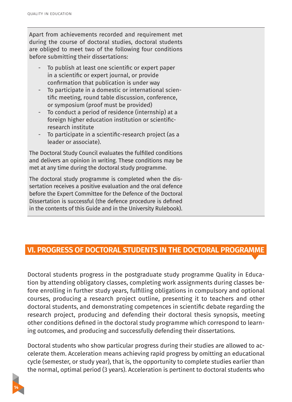**14**

Apart from achievements recorded and requirement met during the course of doctoral studies, doctoral students are obliged to meet two of the following four conditions before submitting their dissertations:

- To publish at least one scientific or expert paper in a scientific or expert journal, or provide confirmation that publication is under way
- To participate in a domestic or international scientific meeting, round table discussion, conference, or symposium (proof must be provided)
- To conduct a period of residence (internship) at a foreign higher education institution or scientificresearch institute
- To participate in a scientific-research project (as a leader or associate).

The Doctoral Study Council evaluates the fulfilled conditions and delivers an opinion in writing. These conditions may be met at any time during the doctoral study programme.

The doctoral study programme is completed when the dissertation receives a positive evaluation and the oral defence before the Expert Committee for the Defence of the Doctoral Dissertation is successful (the defence procedure is defined in the contents of this Guide and in the University Rulebook).

# **VI. PROGRESS OF DOCTORAL STUDENTS IN THE DOCTORAL PROGRAMME**

Doctoral students progress in the postgraduate study programme Quality in Education by attending obligatory classes, completing work assignments during classes before enrolling in further study years, fulfilling obligations in compulsory and optional courses, producing a research project outline, presenting it to teachers and other doctoral students, and demonstrating competences in scientific debate regarding the research project, producing and defending their doctoral thesis synopsis, meeting other conditions defined in the doctoral study programme which correspond to learning outcomes, and producing and successfully defending their dissertations.

Doctoral students who show particular progress during their studies are allowed to accelerate them. Acceleration means achieving rapid progress by omitting an educational cycle (semester, or study year), that is, the opportunity to complete studies earlier than the normal, optimal period (3 years). Acceleration is pertinent to doctoral students who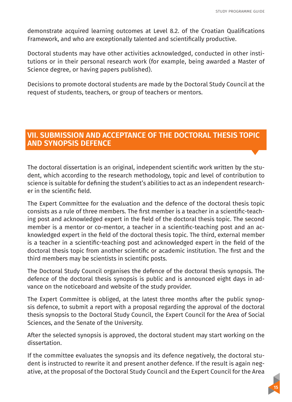demonstrate acquired learning outcomes at Level 8.2. of the Croatian Qualifications Framework, and who are exceptionally talented and scientifically productive.

Doctoral students may have other activities acknowledged, conducted in other institutions or in their personal research work (for example, being awarded a Master of Science degree, or having papers published).

Decisions to promote doctoral students are made by the Doctoral Study Council at the request of students, teachers, or group of teachers or mentors.

# **VII. SUBMISSION AND ACCEPTANCE OF THE DOCTORAL THESIS TOPIC AND SYNOPSIS DEFENCE**

The doctoral dissertation is an original, independent scientific work written by the student, which according to the research methodology, topic and level of contribution to science is suitable for defining the student's abilities to act as an independent researcher in the scientific field.

The Expert Committee for the evaluation and the defence of the doctoral thesis topic consists as a rule of three members. The first member is a teacher in a scientific-teaching post and acknowledged expert in the field of the doctoral thesis topic. The second member is a mentor or co-mentor, a teacher in a scientific-teaching post and an acknowledged expert in the field of the doctoral thesis topic. The third, external member is a teacher in a scientific-teaching post and acknowledged expert in the field of the doctoral thesis topic from another scientific or academic institution. The first and the third members may be scientists in scientific posts.

The Doctoral Study Council organises the defence of the doctoral thesis synopsis. The defence of the doctoral thesis synopsis is public and is announced eight days in advance on the noticeboard and website of the study provider.

The Expert Committee is obliged, at the latest three months after the public synopsis defence, to submit a report with a proposal regarding the approval of the doctoral thesis synopsis to the Doctoral Study Council, the Expert Council for the Area of Social Sciences, and the Senate of the University.

After the selected synopsis is approved, the doctoral student may start working on the dissertation.

If the committee evaluates the synopsis and its defence negatively, the doctoral student is instructed to rewrite it and present another defence. If the result is again negative, at the proposal of the Doctoral Study Council and the Expert Council for the Area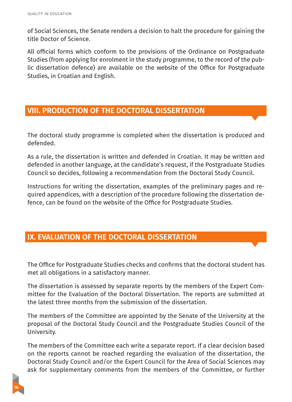of Social Sciences, the Senate renders a decision to halt the procedure for gaining the title Doctor of Science.

All official forms which conform to the provisions of the Ordinance on Postgraduate Studies (from applying for enrolment in the study programme, to the record of the public dissertation defence) are available on the website of the Office for Postgraduate Studies, in Croatian and English.

# **VIII. PRODUCTION OF THE DOCTORAL DISSERTATION**

The doctoral study programme is completed when the dissertation is produced and defended.

As a rule, the dissertation is written and defended in Croatian. It may be written and defended in another language, at the candidate's request, if the Postgraduate Studies Council so decides, following a recommendation from the Doctoral Study Council.

Instructions for writing the dissertation, examples of the preliminary pages and required appendices, with a description of the procedure following the dissertation defence, can be found on the website of the Office for Postgraduate Studies.

### **IX. EVALUATION OF THE DOCTORAL DISSERTATION**

The Office for Postgraduate Studies checks and confirms that the doctoral student has met all obligations in a satisfactory manner.

The dissertation is assessed by separate reports by the members of the Expert Committee for the Evaluation of the Doctoral Dissertation. The reports are submitted at the latest three months from the submission of the dissertation.

The members of the Committee are appointed by the Senate of the University at the proposal of the Doctoral Study Council and the Postgraduate Studies Council of the University.

The members of the Committee each write a separate report. If a clear decision based on the reports cannot be reached regarding the evaluation of the dissertation, the Doctoral Study Council and/or the Expert Council for the Area of Social Sciences may ask for supplementary comments from the members of the Committee, or further

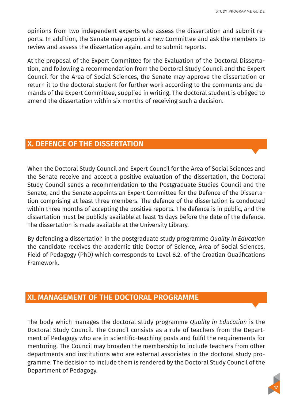opinions from two independent experts who assess the dissertation and submit reports. In addition, the Senate may appoint a new Committee and ask the members to review and assess the dissertation again, and to submit reports.

At the proposal of the Expert Committee for the Evaluation of the Doctoral Dissertation, and following a recommendation from the Doctoral Study Council and the Expert Council for the Area of Social Sciences, the Senate may approve the dissertation or return it to the doctoral student for further work according to the comments and demands of the Expert Committee, supplied in writing. The doctoral student is obliged to amend the dissertation within six months of receiving such a decision.

# **X. DEFENCE OF THE DISSERTATION**

When the Doctoral Study Council and Expert Council for the Area of Social Sciences and the Senate receive and accept a positive evaluation of the dissertation, the Doctoral Study Council sends a recommendation to the Postgraduate Studies Council and the Senate, and the Senate appoints an Expert Committee for the Defence of the Dissertation comprising at least three members. The defence of the dissertation is conducted within three months of accepting the positive reports. The defence is in public, and the dissertation must be publicly available at least 15 days before the date of the defence. The dissertation is made available at the University Library.

By defending a dissertation in the postgraduate study programme *Quality in Education*  the candidate receives the academic title Doctor of Science, Area of Social Sciences, Field of Pedagogy (PhD) which corresponds to Level 8.2. of the Croatian Qualifications Framework.

#### **XI. MANAGEMENT OF THE DOCTORAL PROGRAMME**

The body which manages the doctoral study programme *Quality in Education* is the Doctoral Study Council. The Council consists as a rule of teachers from the Department of Pedagogy who are in scientific-teaching posts and fulfil the requirements for mentoring. The Council may broaden the membership to include teachers from other departments and institutions who are external associates in the doctoral study programme. The decision to include them is rendered by the Doctoral Study Council of the Department of Pedagogy.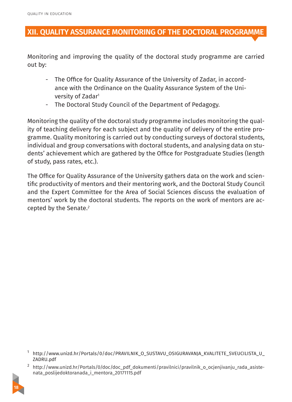### **XII. QUALITY ASSURANCE MONITORING OF THE DOCTORAL PROGRAMME**

Monitoring and improving the quality of the doctoral study programme are carried out by:

- The Office for Quality Assurance of the University of Zadar, in accordance with the Ordinance on the Quality Assurance System of the University of Zadar1
- The Doctoral Study Council of the Department of Pedagogy.

Monitoring the quality of the doctoral study programme includes monitoring the quality of teaching delivery for each subject and the quality of delivery of the entire programme. Quality monitoring is carried out by conducting surveys of doctoral students, individual and group conversations with doctoral students, and analysing data on students' achievement which are gathered by the Office for Postgraduate Studies (length of study, pass rates, etc.).

The Office for Quality Assurance of the University gathers data on the work and scientific productivity of mentors and their mentoring work, and the Doctoral Study Council and the Expert Committee for the Area of Social Sciences discuss the evaluation of mentors' work by the doctoral students. The reports on the work of mentors are accepted by the Senate.*<sup>2</sup>*

<sup>2</sup> http://www.unizd.hr/Portals/0/doc/doc\_pdf\_dokumenti/pravilnici/pravilnik\_o\_ocjenjivanju\_rada\_asistenata\_poslijedoktoranada\_i\_mentora\_20171115.pdf



<sup>&</sup>lt;sup>1</sup> http://www.unizd.hr/Portals/0/doc/PRAVILNIK\_O\_SUSTAVU\_OSIGURAVANJA\_KVALITETE\_SVEUCILISTA\_U ZADRU.pdf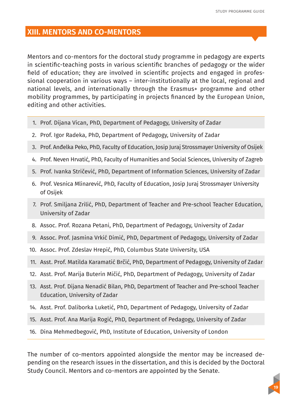#### **XIII. MENTORS AND CO-MENTORS**

Mentors and co-mentors for the doctoral study programme in pedagogy are experts in scientific-teaching posts in various scientific branches of pedagogy or the wider field of education; they are involved in scientific projects and engaged in professional cooperation in various ways – inter-institutionally at the local, regional and national levels, and internationally through the Erasmus+ programme and other mobility programmes, by participating in projects financed by the European Union, editing and other activities.

- 1. Prof. Dijana Vican, PhD, Department of Pedagogy, University of Zadar
- 2. Prof. Igor Radeka, PhD, Department of Pedagogy, University of Zadar
- 3. Prof. Anđelka Peko, PhD, Faculty of Education, Josip Juraj Strossmayer University of Osijek
- 4. Prof. Neven Hrvatić, PhD, Faculty of Humanities and Social Sciences, University of Zagreb
- 5. Prof. Ivanka Stričević, PhD, Department of Information Sciences, University of Zadar
- 6. Prof. Vesnica Mlinarević, PhD, Faculty of Education, Josip Juraj Strossmayer University of Osijek
- 7. Prof. Smiljana Zrilić, PhD, Department of Teacher and Pre-school Teacher Education, University of Zadar
- 8. Assoc. Prof. Rozana Petani, PhD, Department of Pedagogy, University of Zadar
- 9. Assoc. Prof. Jasmina Vrkić Dimić, PhD, Department of Pedagogy, University of Zadar
- 10. Assoc. Prof. Zdeslav Hrepić, PhD, Columbus State University, USA
- 11. Asst. Prof. Matilda Karamatić Brčić, PhD, Department of Pedagogy, University of Zadar
- 12. Asst. Prof. Marija Buterin Mičić, PhD, Department of Pedagogy, University of Zadar
- 13. Asst. Prof. Dijana Nenadić Bilan, PhD, Department of Teacher and Pre-school Teacher Education, University of Zadar
- 14. Asst. Prof. Daliborka Luketić, PhD, Department of Pedagogy, University of Zadar
- 15. Asst. Prof. Ana Marija Rogić, PhD, Department of Pedagogy, University of Zadar
- 16. Dina Mehmedbegović, PhD, Institute of Education, University of London

The number of co-mentors appointed alongside the mentor may be increased depending on the research issues in the dissertation, and this is decided by the Doctoral Study Council. Mentors and co-mentors are appointed by the Senate.